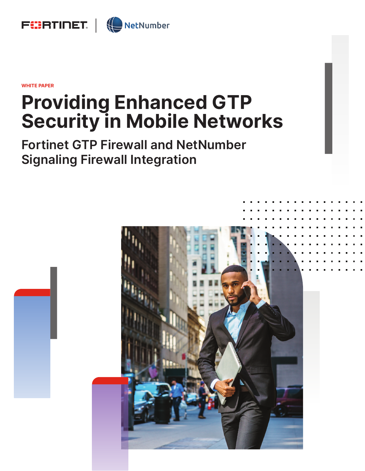

**WHITE PAPER**

# **Providing Enhanced GTP Security in Mobile Networks**

**Fortinet GTP Firewall and NetNumber Signaling Firewall Integration**

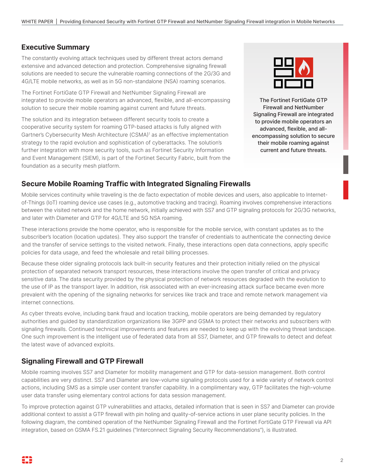## **Executive Summary**

The constantly evolving attack techniques used by different threat actors demand extensive and advanced detection and protection. Comprehensive signaling firewall solutions are needed to secure the vulnerable roaming connections of the 2G/3G and 4G/LTE mobile networks, as well as in 5G non-standalone (NSA) roaming scenarios.

The Fortinet FortiGate GTP Firewall and NetNumber Signaling Firewall are integrated to provide mobile operators an advanced, flexible, and all-encompassing solution to secure their mobile roaming against current and future threats.

The solution and its integration between different security tools to create a cooperative security system for roaming GTP-based attacks is fully aligned with Gartner's Cybersecurity Mesh Architecture (CSMA)<sup>1</sup> as an effective implementation strategy to the rapid evolution and sophistication of cyberattacks. The solution's further integration with more security tools, such as Fortinet Security Information and Event Management (SIEM), is part of the Fortinet Security Fabric, built from the foundation as a security mesh platform.



The Fortinet FortiGate GTP Firewall and NetNumber Signaling Firewall are integrated to provide mobile operators an advanced, flexible, and allencompassing solution to secure their mobile roaming against current and future threats.

## **Secure Mobile Roaming Traffic with Integrated Signaling Firewalls**

Mobile services continuity while traveling is the de facto expectation of mobile devices and users, also applicable to Internetof-Things (IoT) roaming device use cases (e.g., automotive tracking and tracing). Roaming involves comprehensive interactions between the visited network and the home network, initially achieved with SS7 and GTP signaling protocols for 2G/3G networks, and later with Diameter and GTP for 4G/LTE and 5G NSA roaming.

These interactions provide the home operator, who is responsible for the mobile service, with constant updates as to the subscriber's location (location updates). They also support the transfer of credentials to authenticate the connecting device and the transfer of service settings to the visited network. Finally, these interactions open data connections, apply specific policies for data usage, and feed the wholesale and retail billing processes.

Because these older signaling protocols lack built-in security features and their protection initially relied on the physical protection of separated network transport resources, these interactions involve the open transfer of critical and privacy sensitive data. The data security provided by the physical protection of network resources degraded with the evolution to the use of IP as the transport layer. In addition, risk associated with an ever-increasing attack surface became even more prevalent with the opening of the signaling networks for services like track and trace and remote network management via internet connections.

As cyber threats evolve, including bank fraud and location tracking, mobile operators are being demanded by regulatory authorities and guided by standardization organizations like 3GPP and GSMA to protect their networks and subscribers with signaling firewalls. Continued technical improvements and features are needed to keep up with the evolving threat landscape. One such improvement is the intelligent use of federated data from all SS7, Diameter, and GTP firewalls to detect and defeat the latest wave of advanced exploits.

# **Signaling Firewall and GTP Firewall**

Mobile roaming involves SS7 and Diameter for mobility management and GTP for data-session management. Both control capabilities are very distinct. SS7 and Diameter are low-volume signaling protocols used for a wide variety of network control actions, including SMS as a simple user content transfer capability. In a complimentary way, GTP facilitates the high-volume user data transfer using elementary control actions for data session management.

To improve protection against GTP vulnerabilities and attacks, detailed information that is seen in SS7 and Diameter can provide additional context to assist a GTP firewall with pin holing and quality-of-service actions in user plane security policies. In the following diagram, the combined operation of the NetNumber Signaling Firewall and the Fortinet FortiGate GTP Firewall via API integration, based on GSMA FS.21 guidelines ("Interconnect Signaling Security Recommendations"), is illustrated.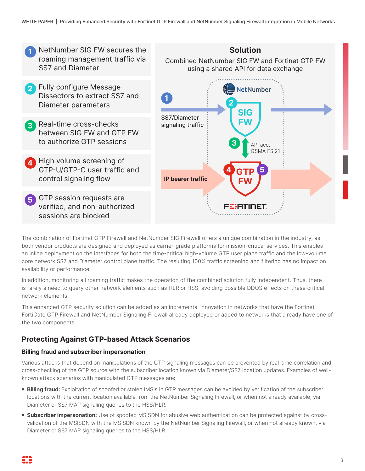

The combination of Fortinet GTP Firewall and NetNumber SIG Firewall offers a unique combination in the industry, as both vendor products are designed and deployed as carrier-grade platforms for mission-critical services. This enables an inline deployment on the interfaces for both the time-critical high-volume GTP user plane traffic and the low-volume core network SS7 and Diameter control plane traffic. The resulting 100% traffic screening and filtering has no impact on availability or performance.

In addition, monitoring all roaming traffic makes the operation of the combined solution fully independent. Thus, there is rarely a need to query other network elements such as HLR or HSS, avoiding possible DDOS effects on these critical network elements.

This enhanced GTP security solution can be added as an incremental innovation in networks that have the Fortinet FortiGate GTP Firewall and NetNumber Signaling Firewall already deployed or added to networks that already have one of the two components.

# **Protecting Against GTP-based Attack Scenarios**

#### **Billing fraud and subscriber impersonation**

Various attacks that depend on manipulations of the GTP signaling messages can be prevented by real-time correlation and cross-checking of the GTP source with the subscriber location known via Diameter/SS7 location updates. Examples of wellknown attack scenarios with manipulated GTP messages are:

- **Billing fraud:** Exploitation of spoofed or stolen IMSIs in GTP messages can be avoided by verification of the subscriber locations with the current location available from the NetNumber Signaling Firewall, or when not already available, via Diameter or SS7 MAP signaling queries to the HSS/HLR.
- **subscriber impersonation:** Use of spoofed MSISDN for abusive web authentication can be protected against by crossvalidation of the MSISDN with the MSISDN known by the NetNumber Signaling Firewall, or when not already known, via Diameter or SS7 MAP signaling queries to the HSS/HLR.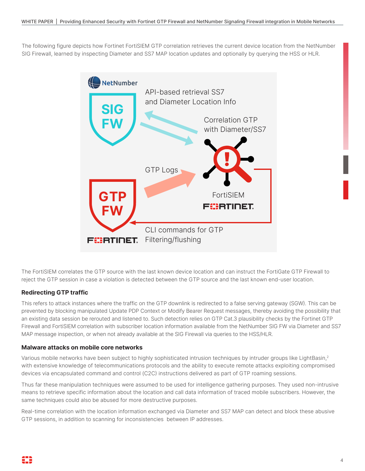The following figure depicts how Fortinet FortiSIEM GTP correlation retrieves the current device location from the NetNumber SIG Firewall, learned by inspecting Diameter and SS7 MAP location updates and optionally by querying the HSS or HLR.



The FortiSIEM correlates the GTP source with the last known device location and can instruct the FortiGate GTP Firewall to reject the GTP session in case a violation is detected between the GTP source and the last known end-user location.

#### **Redirecting GTP traffic**

This refers to attack instances where the traffic on the GTP downlink is redirected to a false serving gateway (SGW). This can be prevented by blocking manipulated Update PDP Context or Modify Bearer Request messages, thereby avoiding the possibility that an existing data session be rerouted and listened to. Such detection relies on GTP Cat.3 plausibility checks by the Fortinet GTP Firewall and FortiSIEM correlation with subscriber location information available from the NetNumber SIG FW via Diameter and SS7 MAP message inspection, or when not already available at the SIG Firewall via queries to the HSS/HLR.

#### **Malware attacks on mobile core networks**

Various mobile networks have been subject to highly sophisticated intrusion techniques by intruder groups like LightBasin,2 with extensive knowledge of telecommunications protocols and the ability to execute remote attacks exploiting compromised devices via encapsulated command and control (C2C) instructions delivered as part of GTP roaming sessions.

Thus far these manipulation techniques were assumed to be used for intelligence gathering purposes. They used non-intrusive means to retrieve specific information about the location and call data information of traced mobile subscribers. However, the same techniques could also be abused for more destructive purposes.

Real-time correlation with the location information exchanged via Diameter and SS7 MAP can detect and block these abusive GTP sessions, in addition to scanning for inconsistencies between IP addresses.